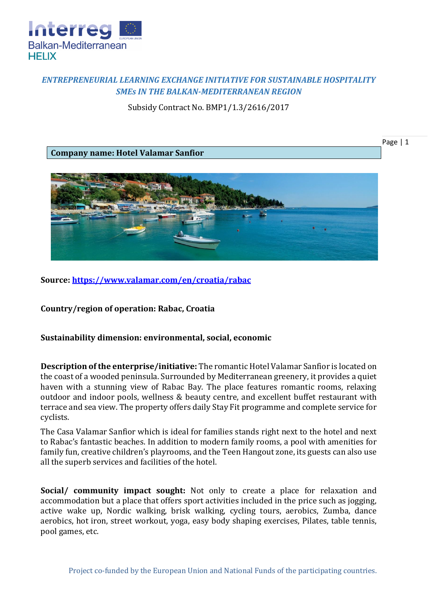

## *ENTREPRENEURIAL LEARNING EXCHANGE INITIATIVE FOR SUSTAINABLE HOSPITALITY SMEs IN THE BALKAN-MEDITERRANEAN REGION*

Subsidy Contract No. BMP1/1.3/2616/2017

**Company name: Hotel Valamar Sanfior**





**Source:<https://www.valamar.com/en/croatia/rabac>**

**Country/region of operation: Rabac, Croatia**

**Sustainability dimension: environmental, social, economic**

**Description of the enterprise/initiative:** The romantic Hotel Valamar Sanfior is located on the coast of a wooded peninsula. Surrounded by Mediterranean greenery, it provides a quiet haven with a stunning view of Rabac Bay. The place features romantic rooms, relaxing outdoor and indoor pools, wellness & beauty centre, and excellent buffet restaurant with terrace and sea view. The property offers daily Stay Fit programme and complete service for cyclists.

The Casa Valamar Sanfior which is ideal for families stands right next to the hotel and next to Rabac's fantastic beaches. In addition to modern family rooms, a pool with amenities for family fun, creative children's playrooms, and the Teen Hangout zone, its guests can also use all the superb services and facilities of the hotel.

**Social/ community impact sought:** Not only to create a place for relaxation and accommodation but a place that offers sport activities included in the price such as jogging, active wake up, Nordic walking, brisk walking, cycling tours, aerobics, Zumba, dance aerobics, hot iron, street workout, yoga, easy body shaping exercises, Pilates, table tennis, pool games, etc.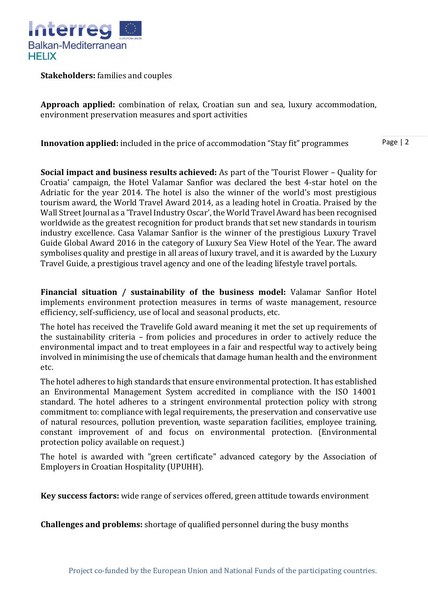

**Stakeholders:** families and couples

**Approach applied:** combination of relax, Croatian sun and sea, luxury accommodation, environment preservation measures and sport activities

Page | 2 **Innovation applied:** included in the price of accommodation "Stay fit" programmes

**Social impact and business results achieved:** As part of the 'Tourist Flower – Quality for Croatia' campaign, the Hotel Valamar Sanfior was declared the best 4-star hotel on the Adriatic for the year 2014. The hotel is also the winner of the world's most prestigious tourism award, the World Travel Award 2014, as a leading hotel in Croatia. Praised by the Wall Street Journal as a 'Travel Industry Oscar', the World Travel Award has been recognised worldwide as the greatest recognition for product brands that set new standards in tourism industry excellence. Casa Valamar Sanfior is the winner of the prestigious Luxury Travel Guide Global Award 2016 in the category of Luxury Sea View Hotel of the Year. The award symbolises quality and prestige in all areas of luxury travel, and it is awarded by the Luxury Travel Guide, a prestigious travel agency and one of the leading lifestyle travel portals.

**Financial situation / sustainability of the business model:** Valamar Sanfior Hotel implements environment protection measures in terms of waste management, resource efficiency, self-sufficiency, use of local and seasonal products, etc.

The hotel has received the Travelife Gold award meaning it met the set up requirements of the sustainability criteria – from policies and procedures in order to actively reduce the environmental impact and to treat employees in a fair and respectful way to actively being involved in minimising the use of chemicals that damage human health and the environment etc.

The hotel adheres to high standards that ensure environmental protection. It has established an Environmental Management System accredited in compliance with the ISO 14001 standard. The hotel adheres to a stringent environmental protection policy with strong commitment to: compliance with legal requirements, the preservation and conservative use of natural resources, pollution prevention, waste separation facilities, employee training, constant improvement of and focus on environmental protection. (Environmental protection policy available on request.)

The hotel is awarded with "green certificate" advanced category by the Association of Employers in Croatian Hospitality (UPUHH).

**Key success factors:** wide range of services offered, green attitude towards environment

**Challenges and problems:** shortage of qualified personnel during the busy months